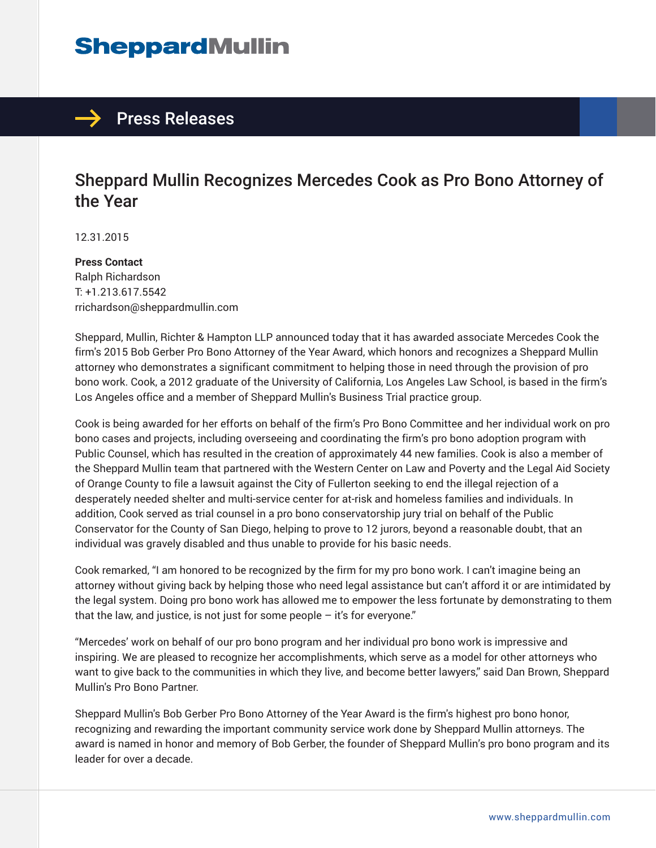## **SheppardMullin**



### Sheppard Mullin Recognizes Mercedes Cook as Pro Bono Attorney of the Year

12.31.2015

**Press Contact** Ralph Richardson T: +1.213.617.5542 rrichardson@sheppardmullin.com

Sheppard, Mullin, Richter & Hampton LLP announced today that it has awarded associate Mercedes Cook the firm's 2015 Bob Gerber Pro Bono Attorney of the Year Award, which honors and recognizes a Sheppard Mullin attorney who demonstrates a significant commitment to helping those in need through the provision of pro bono work. Cook, a 2012 graduate of the University of California, Los Angeles Law School, is based in the firm's Los Angeles office and a member of Sheppard Mullin's Business Trial practice group.

Cook is being awarded for her efforts on behalf of the firm's Pro Bono Committee and her individual work on pro bono cases and projects, including overseeing and coordinating the firm's pro bono adoption program with Public Counsel, which has resulted in the creation of approximately 44 new families. Cook is also a member of the Sheppard Mullin team that partnered with the Western Center on Law and Poverty and the Legal Aid Society of Orange County to file a lawsuit against the City of Fullerton seeking to end the illegal rejection of a desperately needed shelter and multi-service center for at-risk and homeless families and individuals. In addition, Cook served as trial counsel in a pro bono conservatorship jury trial on behalf of the Public Conservator for the County of San Diego, helping to prove to 12 jurors, beyond a reasonable doubt, that an individual was gravely disabled and thus unable to provide for his basic needs.

Cook remarked, "I am honored to be recognized by the firm for my pro bono work. I can't imagine being an attorney without giving back by helping those who need legal assistance but can't afford it or are intimidated by the legal system. Doing pro bono work has allowed me to empower the less fortunate by demonstrating to them that the law, and justice, is not just for some people  $-$  it's for everyone."

"Mercedes' work on behalf of our pro bono program and her individual pro bono work is impressive and inspiring. We are pleased to recognize her accomplishments, which serve as a model for other attorneys who want to give back to the communities in which they live, and become better lawyers," said Dan Brown, Sheppard Mullin's Pro Bono Partner.

Sheppard Mullin's Bob Gerber Pro Bono Attorney of the Year Award is the firm's highest pro bono honor, recognizing and rewarding the important community service work done by Sheppard Mullin attorneys. The award is named in honor and memory of Bob Gerber, the founder of Sheppard Mullin's pro bono program and its leader for over a decade.